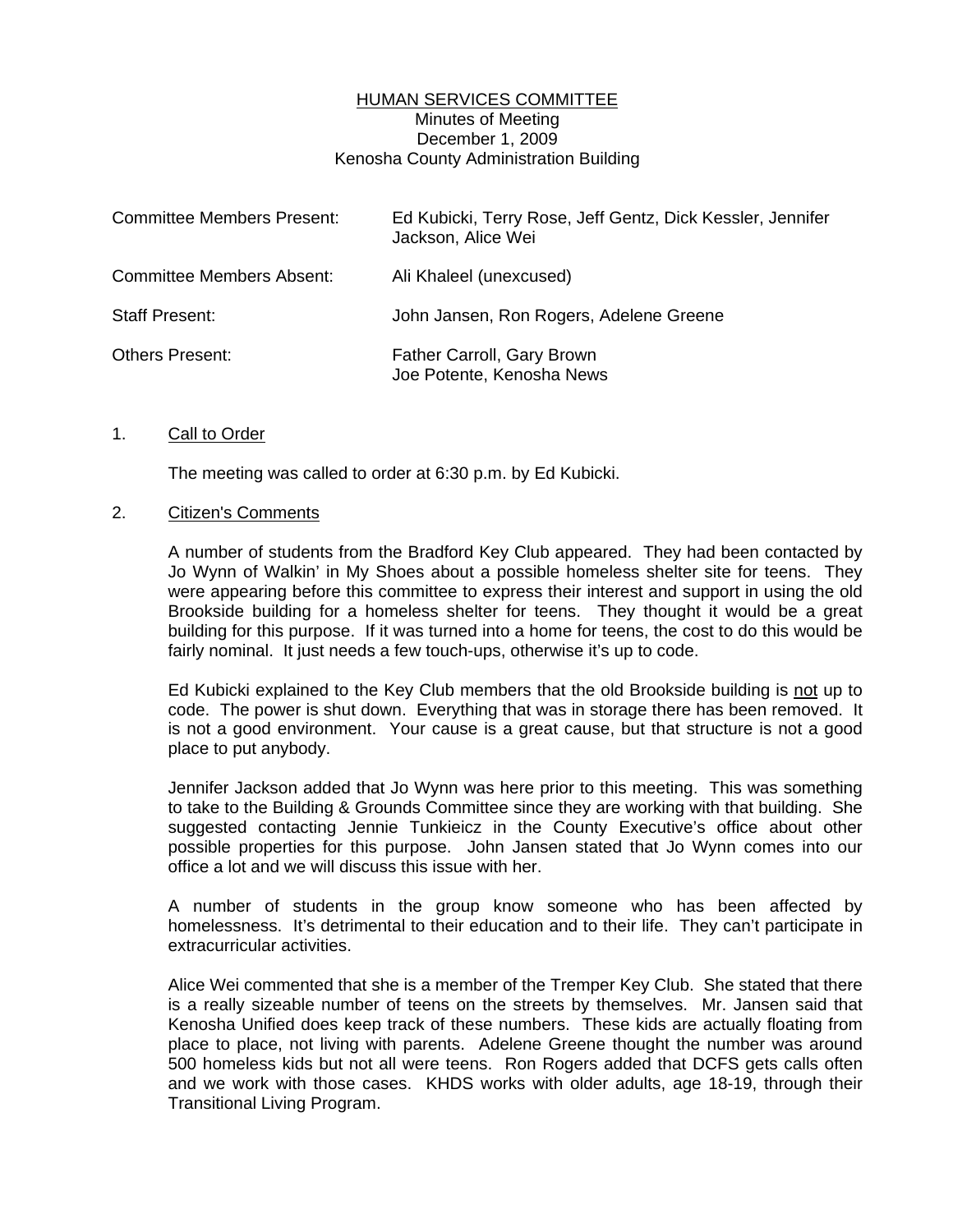## HUMAN SERVICES COMMITTEE Minutes of Meeting December 1, 2009 Kenosha County Administration Building

| <b>Committee Members Present:</b> | Ed Kubicki, Terry Rose, Jeff Gentz, Dick Kessler, Jennifer<br>Jackson, Alice Wei |
|-----------------------------------|----------------------------------------------------------------------------------|
| <b>Committee Members Absent:</b>  | Ali Khaleel (unexcused)                                                          |
| <b>Staff Present:</b>             | John Jansen, Ron Rogers, Adelene Greene                                          |
| <b>Others Present:</b>            | Father Carroll, Gary Brown<br>Joe Potente, Kenosha News                          |

#### 1. Call to Order

The meeting was called to order at 6:30 p.m. by Ed Kubicki.

#### 2. Citizen's Comments

 A number of students from the Bradford Key Club appeared. They had been contacted by Jo Wynn of Walkin' in My Shoes about a possible homeless shelter site for teens. They were appearing before this committee to express their interest and support in using the old Brookside building for a homeless shelter for teens. They thought it would be a great building for this purpose. If it was turned into a home for teens, the cost to do this would be fairly nominal. It just needs a few touch-ups, otherwise it's up to code.

 Ed Kubicki explained to the Key Club members that the old Brookside building is not up to code. The power is shut down. Everything that was in storage there has been removed. It is not a good environment. Your cause is a great cause, but that structure is not a good place to put anybody.

 Jennifer Jackson added that Jo Wynn was here prior to this meeting. This was something to take to the Building & Grounds Committee since they are working with that building. She suggested contacting Jennie Tunkieicz in the County Executive's office about other possible properties for this purpose. John Jansen stated that Jo Wynn comes into our office a lot and we will discuss this issue with her.

 A number of students in the group know someone who has been affected by homelessness. It's detrimental to their education and to their life. They can't participate in extracurricular activities.

 Alice Wei commented that she is a member of the Tremper Key Club. She stated that there is a really sizeable number of teens on the streets by themselves. Mr. Jansen said that Kenosha Unified does keep track of these numbers. These kids are actually floating from place to place, not living with parents. Adelene Greene thought the number was around 500 homeless kids but not all were teens. Ron Rogers added that DCFS gets calls often and we work with those cases. KHDS works with older adults, age 18-19, through their Transitional Living Program.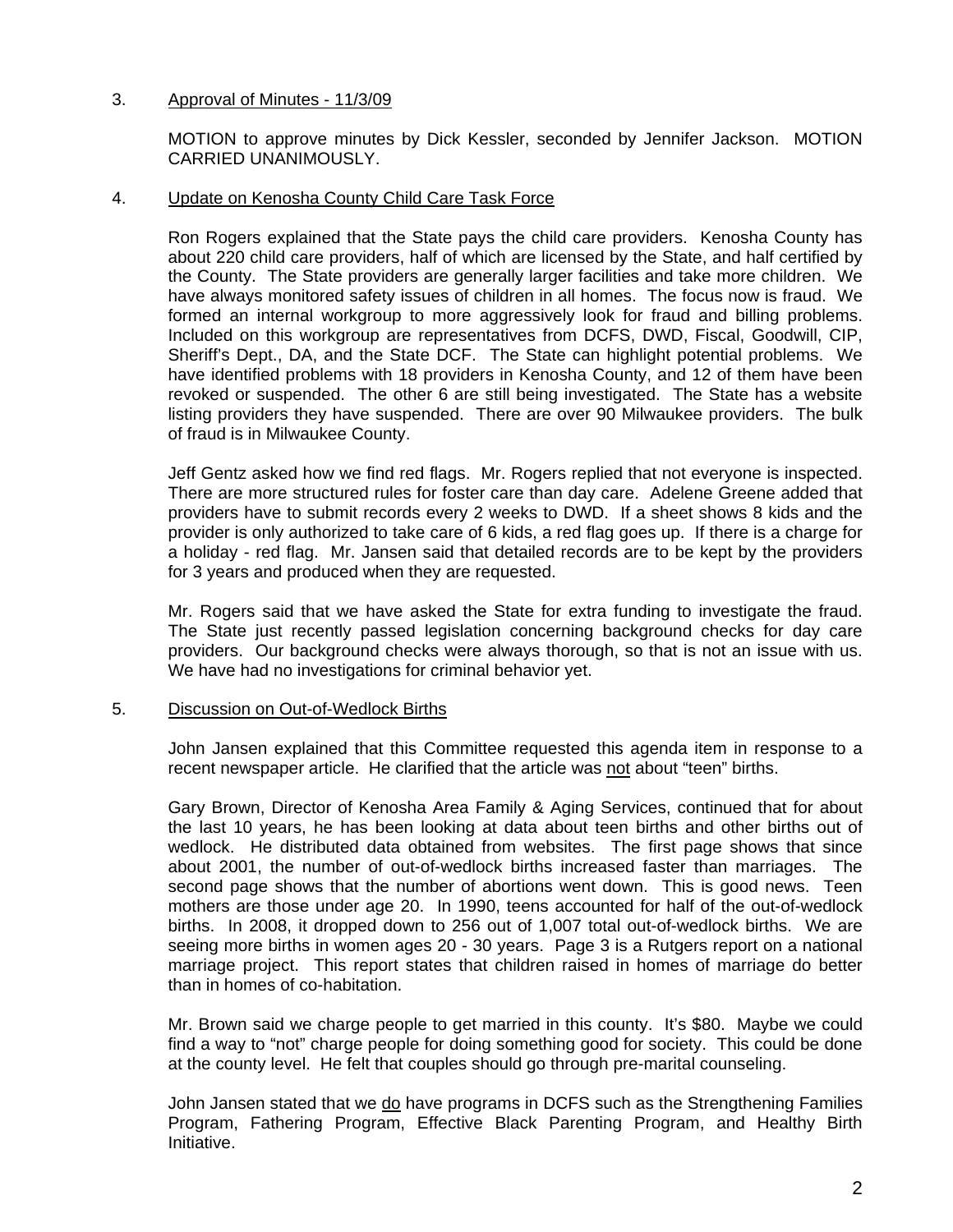# 3. Approval of Minutes - 11/3/09

 MOTION to approve minutes by Dick Kessler, seconded by Jennifer Jackson. MOTION CARRIED UNANIMOUSLY.

## 4. Update on Kenosha County Child Care Task Force

 Ron Rogers explained that the State pays the child care providers. Kenosha County has about 220 child care providers, half of which are licensed by the State, and half certified by the County. The State providers are generally larger facilities and take more children. We have always monitored safety issues of children in all homes. The focus now is fraud. We formed an internal workgroup to more aggressively look for fraud and billing problems. Included on this workgroup are representatives from DCFS, DWD, Fiscal, Goodwill, CIP, Sheriff's Dept., DA, and the State DCF. The State can highlight potential problems. We have identified problems with 18 providers in Kenosha County, and 12 of them have been revoked or suspended. The other 6 are still being investigated. The State has a website listing providers they have suspended. There are over 90 Milwaukee providers. The bulk of fraud is in Milwaukee County.

 Jeff Gentz asked how we find red flags. Mr. Rogers replied that not everyone is inspected. There are more structured rules for foster care than day care. Adelene Greene added that providers have to submit records every 2 weeks to DWD. If a sheet shows 8 kids and the provider is only authorized to take care of 6 kids, a red flag goes up. If there is a charge for a holiday - red flag. Mr. Jansen said that detailed records are to be kept by the providers for 3 years and produced when they are requested.

 Mr. Rogers said that we have asked the State for extra funding to investigate the fraud. The State just recently passed legislation concerning background checks for day care providers. Our background checks were always thorough, so that is not an issue with us. We have had no investigations for criminal behavior yet.

# 5. Discussion on Out-of-Wedlock Births

 John Jansen explained that this Committee requested this agenda item in response to a recent newspaper article. He clarified that the article was not about "teen" births.

 Gary Brown, Director of Kenosha Area Family & Aging Services, continued that for about the last 10 years, he has been looking at data about teen births and other births out of wedlock. He distributed data obtained from websites. The first page shows that since about 2001, the number of out-of-wedlock births increased faster than marriages. The second page shows that the number of abortions went down. This is good news. Teen mothers are those under age 20. In 1990, teens accounted for half of the out-of-wedlock births. In 2008, it dropped down to 256 out of 1,007 total out-of-wedlock births. We are seeing more births in women ages 20 - 30 years. Page 3 is a Rutgers report on a national marriage project. This report states that children raised in homes of marriage do better than in homes of co-habitation.

 Mr. Brown said we charge people to get married in this county. It's \$80. Maybe we could find a way to "not" charge people for doing something good for society. This could be done at the county level. He felt that couples should go through pre-marital counseling.

 John Jansen stated that we do have programs in DCFS such as the Strengthening Families Program, Fathering Program, Effective Black Parenting Program, and Healthy Birth Initiative.